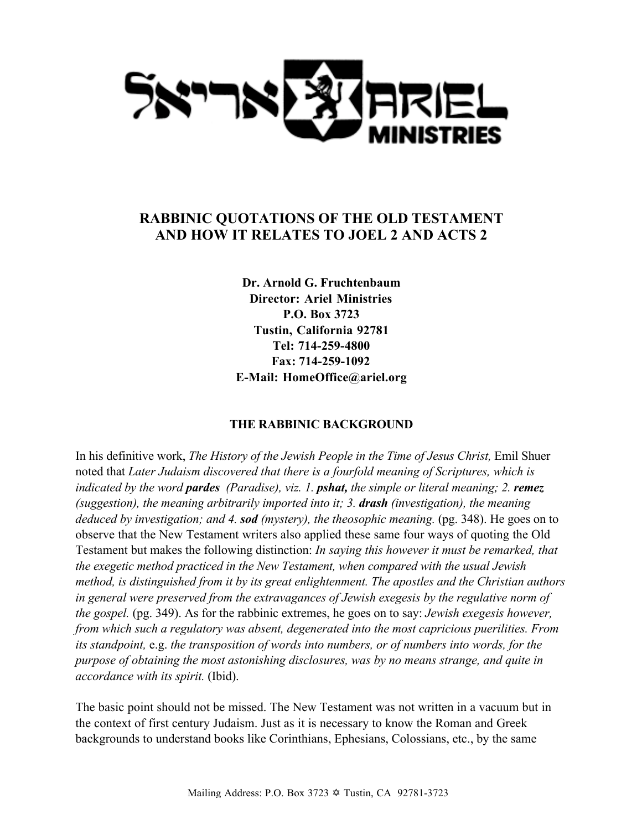

# **RABBINIC QUOTATIONS OF THE OLD TESTAMENT AND HOW IT RELATES TO JOEL 2 AND ACTS 2**

**Dr. Arnold G. Fruchtenbaum Director: Ariel Ministries P.O. Box 3723 Tustin, California 92781 Tel: 714-259-4800 Fax: 714-259-1092 E-Mail: HomeOffice@ariel.org**

## **THE RABBINIC BACKGROUND**

In his definitive work, *The History of the Jewish People in the Time of Jesus Christ,* Emil Shuer noted that *Later Judaism discovered that there is a fourfold meaning of Scriptures, which is indicated by the word pardes (Paradise), viz. 1. pshat, the simple or literal meaning; 2. remez (suggestion), the meaning arbitrarily imported into it; 3. drash (investigation), the meaning deduced by investigation; and 4. sod (mystery), the theosophic meaning.* (pg. 348). He goes on to observe that the New Testament writers also applied these same four ways of quoting the Old Testament but makes the following distinction: *In saying this however it must be remarked, that the exegetic method practiced in the New Testament, when compared with the usual Jewish method, is distinguished from it by its great enlightenment. The apostles and the Christian authors in general were preserved from the extravagances of Jewish exegesis by the regulative norm of the gospel.* (pg. 349). As for the rabbinic extremes, he goes on to say: *Jewish exegesis however, from which such a regulatory was absent, degenerated into the most capricious puerilities. From its standpoint,* e.g. *the transposition of words into numbers, or of numbers into words, for the purpose of obtaining the most astonishing disclosures, was by no means strange, and quite in accordance with its spirit.* (Ibid).

The basic point should not be missed. The New Testament was not written in a vacuum but in the context of first century Judaism. Just as it is necessary to know the Roman and Greek backgrounds to understand books like Corinthians, Ephesians, Colossians, etc., by the same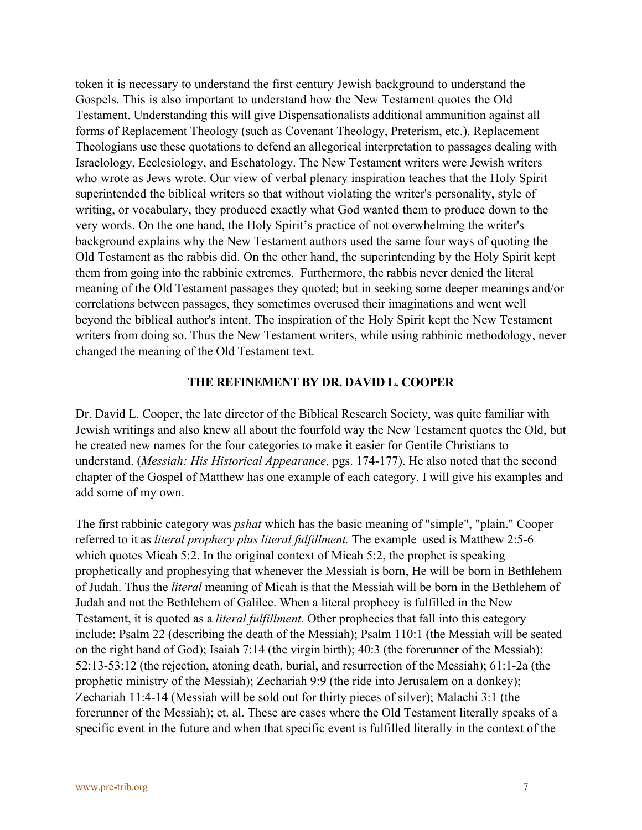token it is necessary to understand the first century Jewish background to understand the Gospels. This is also important to understand how the New Testament quotes the Old Testament. Understanding this will give Dispensationalists additional ammunition against all forms of Replacement Theology (such as Covenant Theology, Preterism, etc.). Replacement Theologians use these quotations to defend an allegorical interpretation to passages dealing with Israelology, Ecclesiology, and Eschatology. The New Testament writers were Jewish writers who wrote as Jews wrote. Our view of verbal plenary inspiration teaches that the Holy Spirit superintended the biblical writers so that without violating the writer's personality, style of writing, or vocabulary, they produced exactly what God wanted them to produce down to the very words. On the one hand, the Holy Spirit's practice of not overwhelming the writer's background explains why the New Testament authors used the same four ways of quoting the Old Testament as the rabbis did. On the other hand, the superintending by the Holy Spirit kept them from going into the rabbinic extremes. Furthermore, the rabbis never denied the literal meaning of the Old Testament passages they quoted; but in seeking some deeper meanings and/or correlations between passages, they sometimes overused their imaginations and went well beyond the biblical author's intent. The inspiration of the Holy Spirit kept the New Testament writers from doing so. Thus the New Testament writers, while using rabbinic methodology, never changed the meaning of the Old Testament text.

#### **THE REFINEMENT BY DR. DAVID L. COOPER**

Dr. David L. Cooper, the late director of the Biblical Research Society, was quite familiar with Jewish writings and also knew all about the fourfold way the New Testament quotes the Old, but he created new names for the four categories to make it easier for Gentile Christians to understand. (*Messiah: His Historical Appearance,* pgs. 174-177). He also noted that the second chapter of the Gospel of Matthew has one example of each category. I will give his examples and add some of my own.

The first rabbinic category was *pshat* which has the basic meaning of "simple", "plain." Cooper referred to it as *literal prophecy plus literal fulfillment.* The example used is Matthew 2:5-6 which quotes Micah 5:2. In the original context of Micah 5:2, the prophet is speaking prophetically and prophesying that whenever the Messiah is born, He will be born in Bethlehem of Judah. Thus the *literal* meaning of Micah is that the Messiah will be born in the Bethlehem of Judah and not the Bethlehem of Galilee. When a literal prophecy is fulfilled in the New Testament, it is quoted as a *literal fulfillment.* Other prophecies that fall into this category include: Psalm 22 (describing the death of the Messiah); Psalm 110:1 (the Messiah will be seated on the right hand of God); Isaiah 7:14 (the virgin birth); 40:3 (the forerunner of the Messiah); 52:13-53:12 (the rejection, atoning death, burial, and resurrection of the Messiah); 61:1-2a (the prophetic ministry of the Messiah); Zechariah 9:9 (the ride into Jerusalem on a donkey); Zechariah 11:4-14 (Messiah will be sold out for thirty pieces of silver); Malachi 3:1 (the forerunner of the Messiah); et. al. These are cases where the Old Testament literally speaks of a specific event in the future and when that specific event is fulfilled literally in the context of the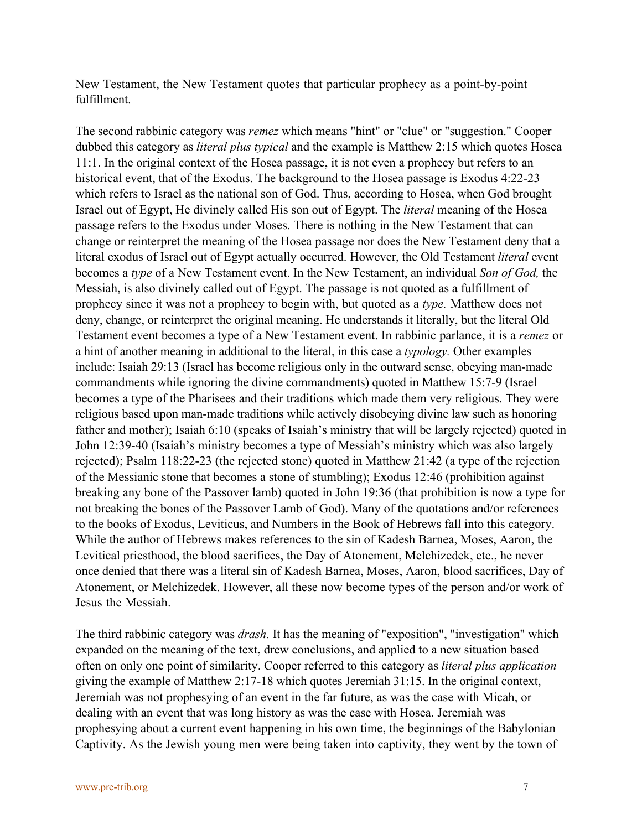New Testament, the New Testament quotes that particular prophecy as a point-by-point fulfillment.

The second rabbinic category was *remez* which means "hint" or "clue" or "suggestion." Cooper dubbed this category as *literal plus typical* and the example is Matthew 2:15 which quotes Hosea 11:1. In the original context of the Hosea passage, it is not even a prophecy but refers to an historical event, that of the Exodus. The background to the Hosea passage is Exodus 4:22-23 which refers to Israel as the national son of God. Thus, according to Hosea, when God brought Israel out of Egypt, He divinely called His son out of Egypt. The *literal* meaning of the Hosea passage refers to the Exodus under Moses. There is nothing in the New Testament that can change or reinterpret the meaning of the Hosea passage nor does the New Testament deny that a literal exodus of Israel out of Egypt actually occurred. However, the Old Testament *literal* event becomes a *type* of a New Testament event. In the New Testament, an individual *Son of God,* the Messiah, is also divinely called out of Egypt. The passage is not quoted as a fulfillment of prophecy since it was not a prophecy to begin with, but quoted as a *type.* Matthew does not deny, change, or reinterpret the original meaning. He understands it literally, but the literal Old Testament event becomes a type of a New Testament event. In rabbinic parlance, it is a *remez* or a hint of another meaning in additional to the literal, in this case a *typology.* Other examples include: Isaiah 29:13 (Israel has become religious only in the outward sense, obeying man-made commandments while ignoring the divine commandments) quoted in Matthew 15:7-9 (Israel becomes a type of the Pharisees and their traditions which made them very religious. They were religious based upon man-made traditions while actively disobeying divine law such as honoring father and mother); Isaiah 6:10 (speaks of Isaiah's ministry that will be largely rejected) quoted in John 12:39-40 (Isaiah's ministry becomes a type of Messiah's ministry which was also largely rejected); Psalm 118:22-23 (the rejected stone) quoted in Matthew 21:42 (a type of the rejection of the Messianic stone that becomes a stone of stumbling); Exodus 12:46 (prohibition against breaking any bone of the Passover lamb) quoted in John 19:36 (that prohibition is now a type for not breaking the bones of the Passover Lamb of God). Many of the quotations and/or references to the books of Exodus, Leviticus, and Numbers in the Book of Hebrews fall into this category. While the author of Hebrews makes references to the sin of Kadesh Barnea, Moses, Aaron, the Levitical priesthood, the blood sacrifices, the Day of Atonement, Melchizedek, etc., he never once denied that there was a literal sin of Kadesh Barnea, Moses, Aaron, blood sacrifices, Day of Atonement, or Melchizedek. However, all these now become types of the person and/or work of Jesus the Messiah.

The third rabbinic category was *drash.* It has the meaning of "exposition", "investigation" which expanded on the meaning of the text, drew conclusions, and applied to a new situation based often on only one point of similarity. Cooper referred to this category as *literal plus application* giving the example of Matthew 2:17-18 which quotes Jeremiah 31:15. In the original context, Jeremiah was not prophesying of an event in the far future, as was the case with Micah, or dealing with an event that was long history as was the case with Hosea. Jeremiah was prophesying about a current event happening in his own time, the beginnings of the Babylonian Captivity. As the Jewish young men were being taken into captivity, they went by the town of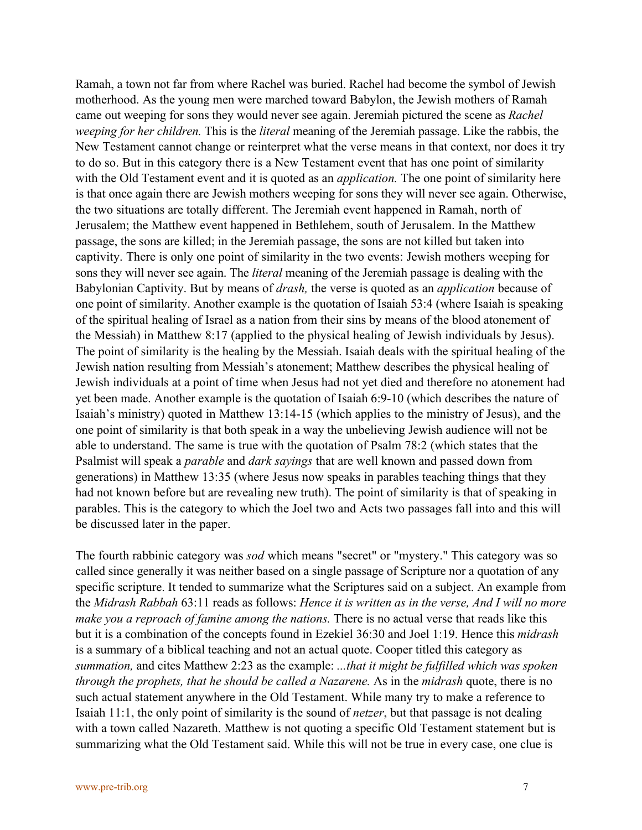Ramah, a town not far from where Rachel was buried. Rachel had become the symbol of Jewish motherhood. As the young men were marched toward Babylon, the Jewish mothers of Ramah came out weeping for sons they would never see again. Jeremiah pictured the scene as *Rachel weeping for her children.* This is the *literal* meaning of the Jeremiah passage. Like the rabbis, the New Testament cannot change or reinterpret what the verse means in that context, nor does it try to do so. But in this category there is a New Testament event that has one point of similarity with the Old Testament event and it is quoted as an *application.* The one point of similarity here is that once again there are Jewish mothers weeping for sons they will never see again. Otherwise, the two situations are totally different. The Jeremiah event happened in Ramah, north of Jerusalem; the Matthew event happened in Bethlehem, south of Jerusalem. In the Matthew passage, the sons are killed; in the Jeremiah passage, the sons are not killed but taken into captivity. There is only one point of similarity in the two events: Jewish mothers weeping for sons they will never see again. The *literal* meaning of the Jeremiah passage is dealing with the Babylonian Captivity. But by means of *drash,* the verse is quoted as an *application* because of one point of similarity. Another example is the quotation of Isaiah 53:4 (where Isaiah is speaking of the spiritual healing of Israel as a nation from their sins by means of the blood atonement of the Messiah) in Matthew 8:17 (applied to the physical healing of Jewish individuals by Jesus). The point of similarity is the healing by the Messiah. Isaiah deals with the spiritual healing of the Jewish nation resulting from Messiah's atonement; Matthew describes the physical healing of Jewish individuals at a point of time when Jesus had not yet died and therefore no atonement had yet been made. Another example is the quotation of Isaiah 6:9-10 (which describes the nature of Isaiah's ministry) quoted in Matthew 13:14-15 (which applies to the ministry of Jesus), and the one point of similarity is that both speak in a way the unbelieving Jewish audience will not be able to understand. The same is true with the quotation of Psalm 78:2 (which states that the Psalmist will speak a *parable* and *dark sayings* that are well known and passed down from generations) in Matthew 13:35 (where Jesus now speaks in parables teaching things that they had not known before but are revealing new truth). The point of similarity is that of speaking in parables. This is the category to which the Joel two and Acts two passages fall into and this will be discussed later in the paper.

The fourth rabbinic category was *sod* which means "secret" or "mystery." This category was so called since generally it was neither based on a single passage of Scripture nor a quotation of any specific scripture. It tended to summarize what the Scriptures said on a subject. An example from the *Midrash Rabbah* 63:11 reads as follows: *Hence it is written as in the verse, And I will no more make you a reproach of famine among the nations.* There is no actual verse that reads like this but it is a combination of the concepts found in Ezekiel 36:30 and Joel 1:19. Hence this *midrash* is a summary of a biblical teaching and not an actual quote. Cooper titled this category as *summation,* and cites Matthew 2:23 as the example: *...that it might be fulfilled which was spoken through the prophets, that he should be called a Nazarene.* As in the *midrash* quote, there is no such actual statement anywhere in the Old Testament. While many try to make a reference to Isaiah 11:1, the only point of similarity is the sound of *netzer*, but that passage is not dealing with a town called Nazareth. Matthew is not quoting a specific Old Testament statement but is summarizing what the Old Testament said. While this will not be true in every case, one clue is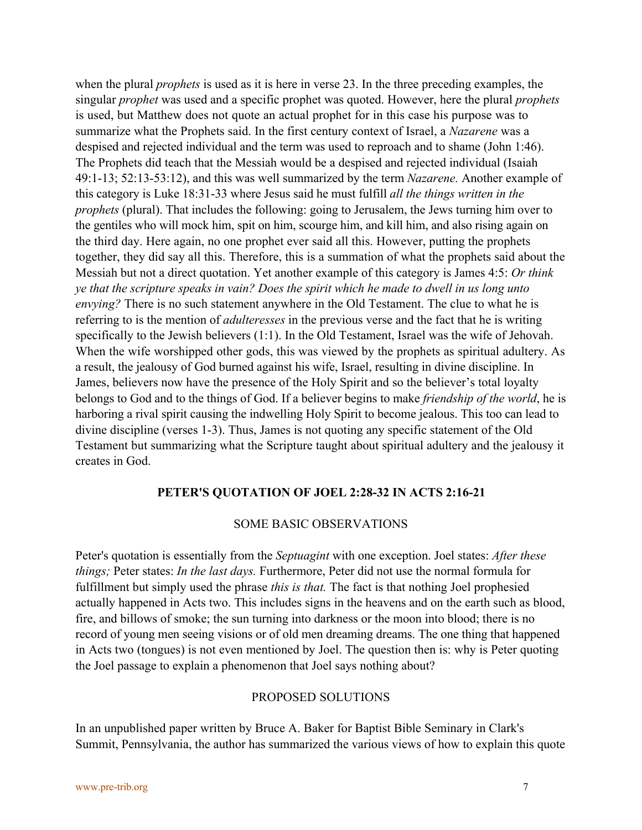when the plural *prophets* is used as it is here in verse 23. In the three preceding examples, the singular *prophet* was used and a specific prophet was quoted. However, here the plural *prophets* is used, but Matthew does not quote an actual prophet for in this case his purpose was to summarize what the Prophets said. In the first century context of Israel, a *Nazarene* was a despised and rejected individual and the term was used to reproach and to shame (John 1:46). The Prophets did teach that the Messiah would be a despised and rejected individual (Isaiah 49:1-13; 52:13-53:12), and this was well summarized by the term *Nazarene.* Another example of this category is Luke 18:31-33 where Jesus said he must fulfill *all the things written in the prophets* (plural). That includes the following: going to Jerusalem, the Jews turning him over to the gentiles who will mock him, spit on him, scourge him, and kill him, and also rising again on the third day. Here again, no one prophet ever said all this. However, putting the prophets together, they did say all this. Therefore, this is a summation of what the prophets said about the Messiah but not a direct quotation. Yet another example of this category is James 4:5: *Or think ye that the scripture speaks in vain? Does the spirit which he made to dwell in us long unto envying?* There is no such statement anywhere in the Old Testament. The clue to what he is referring to is the mention of *adulteresses* in the previous verse and the fact that he is writing specifically to the Jewish believers (1:1). In the Old Testament, Israel was the wife of Jehovah. When the wife worshipped other gods, this was viewed by the prophets as spiritual adultery. As a result, the jealousy of God burned against his wife, Israel, resulting in divine discipline. In James, believers now have the presence of the Holy Spirit and so the believer's total loyalty belongs to God and to the things of God. If a believer begins to make *friendship of the world*, he is harboring a rival spirit causing the indwelling Holy Spirit to become jealous. This too can lead to divine discipline (verses 1-3). Thus, James is not quoting any specific statement of the Old Testament but summarizing what the Scripture taught about spiritual adultery and the jealousy it creates in God.

## **PETER'S QUOTATION OF JOEL 2:28-32 IN ACTS 2:16-21**

### SOME BASIC OBSERVATIONS

Peter's quotation is essentially from the *Septuagint* with one exception. Joel states: *After these things;* Peter states: *In the last days.* Furthermore, Peter did not use the normal formula for fulfillment but simply used the phrase *this is that*. The fact is that nothing Joel prophesied actually happened in Acts two. This includes signs in the heavens and on the earth such as blood, fire, and billows of smoke; the sun turning into darkness or the moon into blood; there is no record of young men seeing visions or of old men dreaming dreams. The one thing that happened in Acts two (tongues) is not even mentioned by Joel. The question then is: why is Peter quoting the Joel passage to explain a phenomenon that Joel says nothing about?

### PROPOSED SOLUTIONS

In an unpublished paper written by Bruce A. Baker for Baptist Bible Seminary in Clark's Summit, Pennsylvania, the author has summarized the various views of how to explain this quote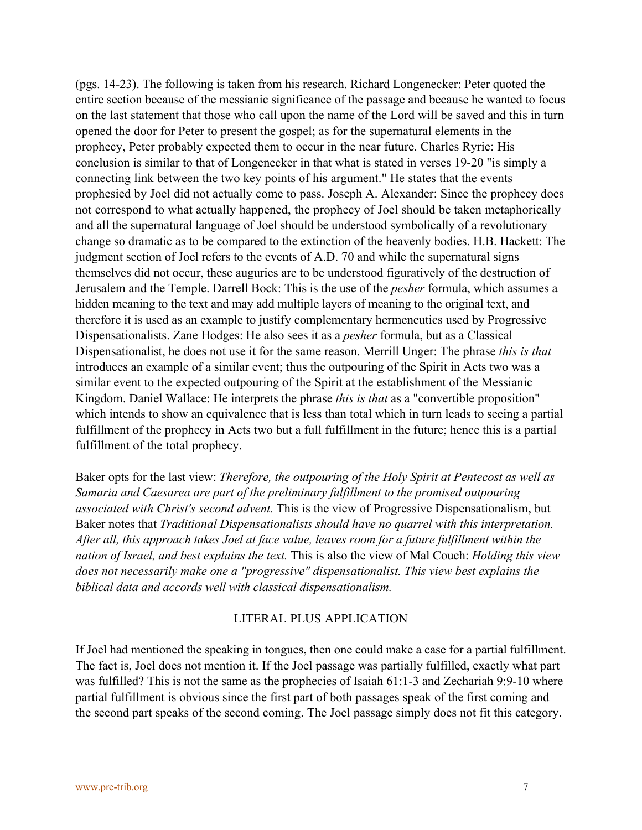(pgs. 14-23). The following is taken from his research. Richard Longenecker: Peter quoted the entire section because of the messianic significance of the passage and because he wanted to focus on the last statement that those who call upon the name of the Lord will be saved and this in turn opened the door for Peter to present the gospel; as for the supernatural elements in the prophecy, Peter probably expected them to occur in the near future. Charles Ryrie: His conclusion is similar to that of Longenecker in that what is stated in verses 19-20 "is simply a connecting link between the two key points of his argument." He states that the events prophesied by Joel did not actually come to pass. Joseph A. Alexander: Since the prophecy does not correspond to what actually happened, the prophecy of Joel should be taken metaphorically and all the supernatural language of Joel should be understood symbolically of a revolutionary change so dramatic as to be compared to the extinction of the heavenly bodies. H.B. Hackett: The judgment section of Joel refers to the events of A.D. 70 and while the supernatural signs themselves did not occur, these auguries are to be understood figuratively of the destruction of Jerusalem and the Temple. Darrell Bock: This is the use of the *pesher* formula, which assumes a hidden meaning to the text and may add multiple layers of meaning to the original text, and therefore it is used as an example to justify complementary hermeneutics used by Progressive Dispensationalists. Zane Hodges: He also sees it as a *pesher* formula, but as a Classical Dispensationalist, he does not use it for the same reason. Merrill Unger: The phrase *this is that* introduces an example of a similar event; thus the outpouring of the Spirit in Acts two was a similar event to the expected outpouring of the Spirit at the establishment of the Messianic Kingdom. Daniel Wallace: He interprets the phrase *this is that* as a "convertible proposition" which intends to show an equivalence that is less than total which in turn leads to seeing a partial fulfillment of the prophecy in Acts two but a full fulfillment in the future; hence this is a partial fulfillment of the total prophecy.

Baker opts for the last view: *Therefore, the outpouring of the Holy Spirit at Pentecost as well as Samaria and Caesarea are part of the preliminary fulfillment to the promised outpouring associated with Christ's second advent.* This is the view of Progressive Dispensationalism, but Baker notes that *Traditional Dispensationalists should have no quarrel with this interpretation. After all, this approach takes Joel at face value, leaves room for a future fulfillment within the nation of Israel, and best explains the text.* This is also the view of Mal Couch: *Holding this view does not necessarily make one a "progressive" dispensationalist. This view best explains the biblical data and accords well with classical dispensationalism.*

#### LITERAL PLUS APPLICATION

If Joel had mentioned the speaking in tongues, then one could make a case for a partial fulfillment. The fact is, Joel does not mention it. If the Joel passage was partially fulfilled, exactly what part was fulfilled? This is not the same as the prophecies of Isaiah 61:1-3 and Zechariah 9:9-10 where partial fulfillment is obvious since the first part of both passages speak of the first coming and the second part speaks of the second coming. The Joel passage simply does not fit this category.